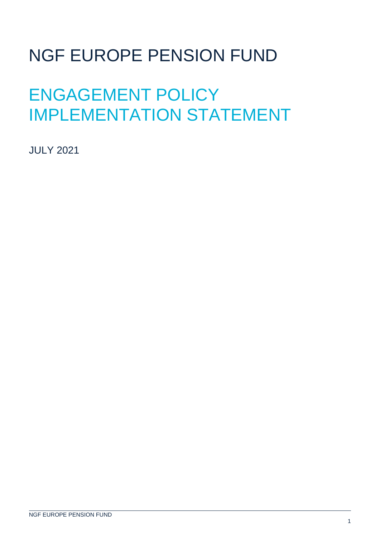# NGF EUROPE PENSION FUND

# ENGAGEMENT POLICY IMPLEMENTATION STATEMENT

JULY 2021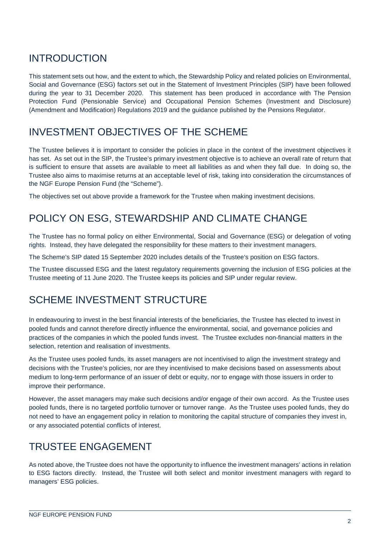# INTRODUCTION

This statement sets out how, and the extent to which, the Stewardship Policy and related policies on Environmental, Social and Governance (ESG) factors set out in the Statement of Investment Principles (SIP) have been followed during the year to 31 December 2020. This statement has been produced in accordance with The Pension Protection Fund (Pensionable Service) and Occupational Pension Schemes (Investment and Disclosure) (Amendment and Modification) Regulations 2019 and the guidance published by the Pensions Regulator.

## INVESTMENT OBJECTIVES OF THE SCHEME

The Trustee believes it is important to consider the policies in place in the context of the investment objectives it has set. As set out in the SIP, the Trustee's primary investment objective is to achieve an overall rate of return that is sufficient to ensure that assets are available to meet all liabilities as and when they fall due. In doing so, the Trustee also aims to maximise returns at an acceptable level of risk, taking into consideration the circumstances of the NGF Europe Pension Fund (the "Scheme").

The objectives set out above provide a framework for the Trustee when making investment decisions.

#### POLICY ON ESG, STEWARDSHIP AND CLIMATE CHANGE

The Trustee has no formal policy on either Environmental, Social and Governance (ESG) or delegation of voting rights. Instead, they have delegated the responsibility for these matters to their investment managers.

The Scheme's SIP dated 15 September 2020 includes details of the Trustee's position on ESG factors.

The Trustee discussed ESG and the latest regulatory requirements governing the inclusion of ESG policies at the Trustee meeting of 11 June 2020. The Trustee keeps its policies and SIP under regular review.

## SCHEME INVESTMENT STRUCTURE

In endeavouring to invest in the best financial interests of the beneficiaries, the Trustee has elected to invest in pooled funds and cannot therefore directly influence the environmental, social, and governance policies and practices of the companies in which the pooled funds invest. The Trustee excludes non-financial matters in the selection, retention and realisation of investments.

As the Trustee uses pooled funds, its asset managers are not incentivised to align the investment strategy and decisions with the Trustee's policies, nor are they incentivised to make decisions based on assessments about medium to long-term performance of an issuer of debt or equity, nor to engage with those issuers in order to improve their performance.

However, the asset managers may make such decisions and/or engage of their own accord. As the Trustee uses pooled funds, there is no targeted portfolio turnover or turnover range. As the Trustee uses pooled funds, they do not need to have an engagement policy in relation to monitoring the capital structure of companies they invest in, or any associated potential conflicts of interest.

## TRUSTEE ENGAGEMENT

As noted above, the Trustee does not have the opportunity to influence the investment managers' actions in relation to ESG factors directly. Instead, the Trustee will both select and monitor investment managers with regard to managers' ESG policies.